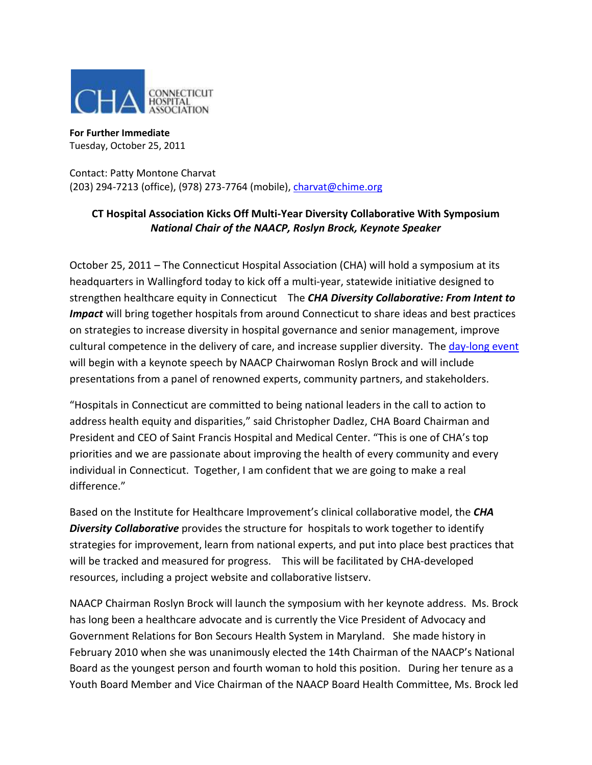

**For Further Immediate**  Tuesday, October 25, 2011

Contact: Patty Montone Charvat (203) 294-7213 (office), (978) 273-7764 (mobile), [charvat@chime.org](mailto:charvat@chime.org)

## **CT Hospital Association Kicks Off Multi-Year Diversity Collaborative With Symposium**  *National Chair of the NAACP, Roslyn Brock, Keynote Speaker*

October 25, 2011 – The Connecticut Hospital Association (CHA) will hold a symposium at its headquarters in Wallingford today to kick off a multi-year, statewide initiative designed to strengthen healthcare equity in Connecticut The *CHA Diversity Collaborative: From Intent to Impact* will bring together hospitals from around Connecticut to share ideas and best practices on strategies to increase diversity in hospital governance and senior management, improve cultural competence in the delivery of care, and increase supplier diversity. The [day-long event](http://www.cthosp.org/education_events/occal/pdfbrochures/DiversityCollaborative_Brochure_ForAttendees.pdf) will begin with a keynote speech by NAACP Chairwoman Roslyn Brock and will include presentations from a panel of renowned experts, community partners, and stakeholders.

"Hospitals in Connecticut are committed to being national leaders in the call to action to address health equity and disparities," said Christopher Dadlez, CHA Board Chairman and President and CEO of Saint Francis Hospital and Medical Center. "This is one of CHA's top priorities and we are passionate about improving the health of every community and every individual in Connecticut. Together, I am confident that we are going to make a real difference."

Based on the Institute for Healthcare Improvement's clinical collaborative model, the *CHA Diversity Collaborative* provides the structure for hospitals to work together to identify strategies for improvement, learn from national experts, and put into place best practices that will be tracked and measured for progress. This will be facilitated by CHA-developed resources, including a project website and collaborative listserv.

NAACP Chairman Roslyn Brock will launch the symposium with her keynote address. Ms. Brock has long been a healthcare advocate and is currently the Vice President of Advocacy and Government Relations for Bon Secours Health System in Maryland. She made history in February 2010 when she was unanimously elected the 14th Chairman of the NAACP's National Board as the youngest person and fourth woman to hold this position. During her tenure as a Youth Board Member and Vice Chairman of the NAACP Board Health Committee, Ms. Brock led